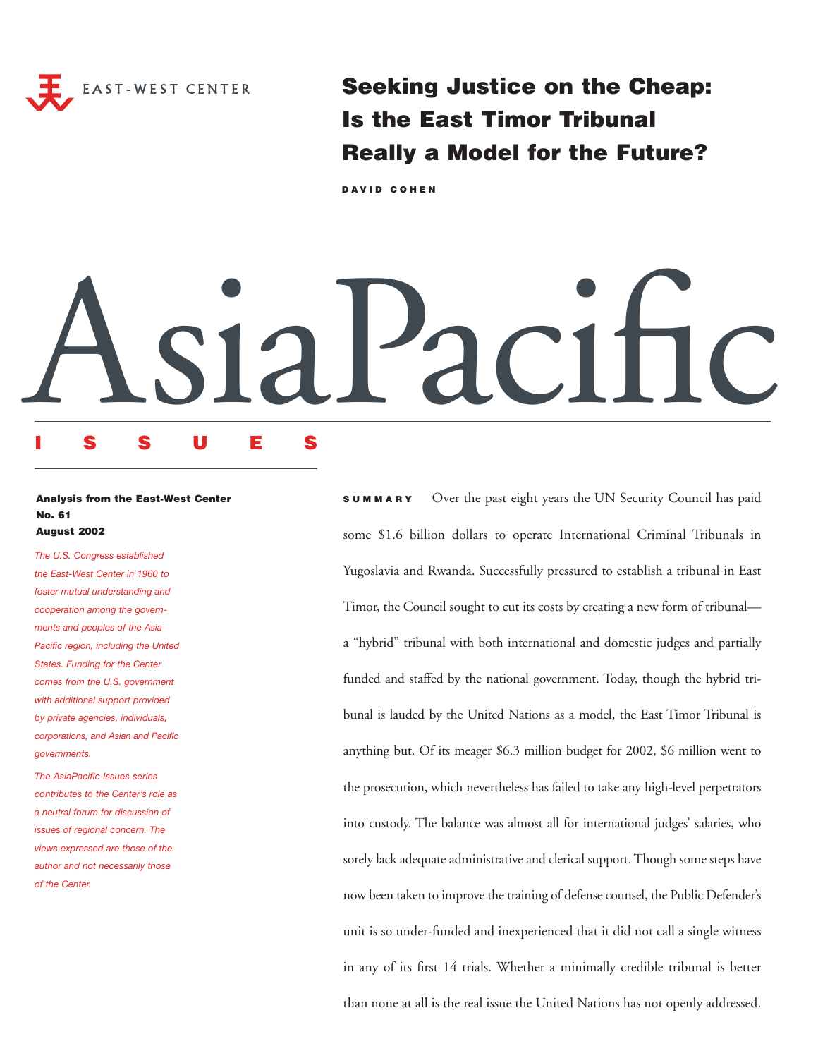

**Seeking Justice on the Cheap: Is the East Timor Tribunal Really a Model for the Future?**

**DAVID COHEN**

# AsiaPacific

# **ISSUES**

# **Analysis from the East-West Center No. 61 August 2002**

*The U.S. Congress established the East-West Center in 1960 to foster mutual understanding and cooperation among the governments and peoples of the Asia Pacific region, including the United States. Funding for the Center comes from the U.S. government with additional support provided by private agencies, individuals, corporations, and Asian and Pacific governments.*

*The AsiaPacific Issues series contributes to the Center's role as a neutral forum for discussion of issues of regional concern. The views expressed are those of the author and not necessarily those of the Center.*

**SUMMARY** Over the past eight years the UN Security Council has paid some \$1.6 billion dollars to operate International Criminal Tribunals in Yugoslavia and Rwanda. Successfully pressured to establish a tribunal in East Timor, the Council sought to cut its costs by creating a new form of tribunal a "hybrid" tribunal with both international and domestic judges and partially funded and staffed by the national government. Today, though the hybrid tribunal is lauded by the United Nations as a model, the East Timor Tribunal is anything but. Of its meager \$6.3 million budget for 2002, \$6 million went to the prosecution, which nevertheless has failed to take any high-level perpetrators into custody. The balance was almost all for international judges' salaries, who sorely lack adequate administrative and clerical support. Though some steps have now been taken to improve the training of defense counsel, the Public Defender's unit is so under-funded and inexperienced that it did not call a single witness in any of its first 14 trials. Whether a minimally credible tribunal is better than none at all is the real issue the United Nations has not openly addressed.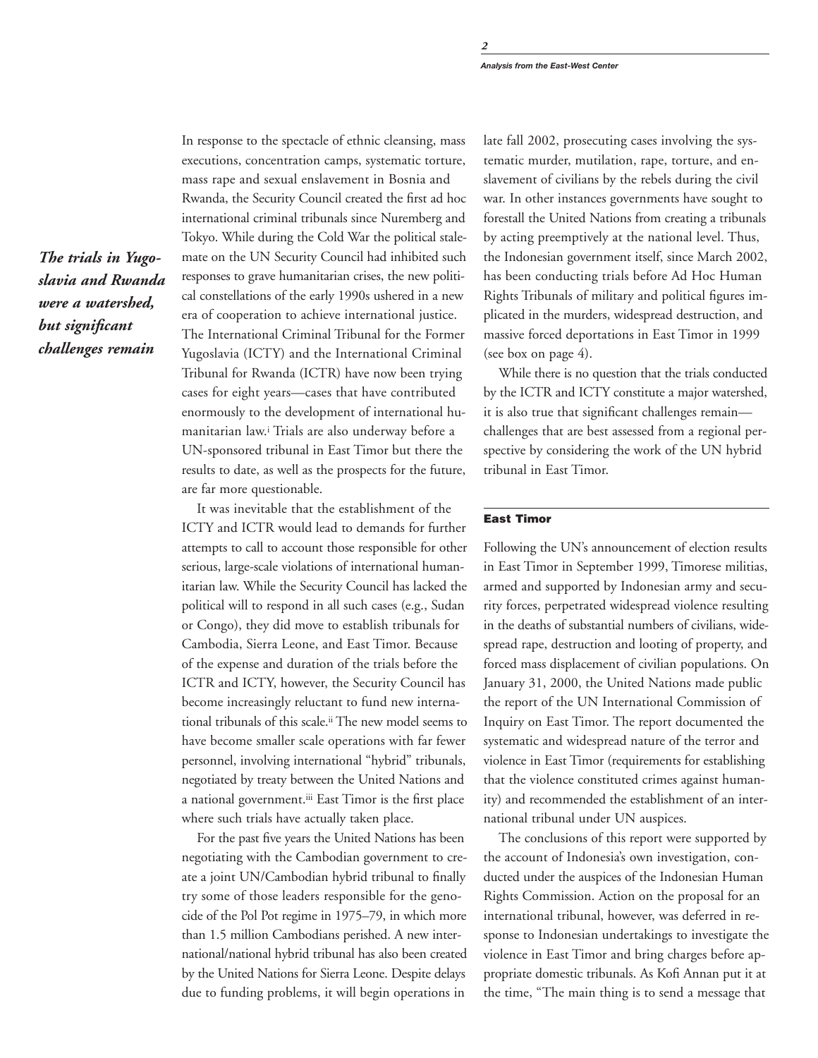*The trials in Yugoslavia and Rwanda were a watershed, but significant challenges remain*

In response to the spectacle of ethnic cleansing, mass executions, concentration camps, systematic torture, mass rape and sexual enslavement in Bosnia and Rwanda, the Security Council created the first ad hoc international criminal tribunals since Nuremberg and Tokyo. While during the Cold War the political stalemate on the UN Security Council had inhibited such responses to grave humanitarian crises, the new political constellations of the early 1990s ushered in a new era of cooperation to achieve international justice. The International Criminal Tribunal for the Former Yugoslavia (ICTY) and the International Criminal Tribunal for Rwanda (ICTR) have now been trying cases for eight years—cases that have contributed enormously to the development of international humanitarian law.i Trials are also underway before a UN-sponsored tribunal in East Timor but there the results to date, as well as the prospects for the future, are far more questionable.

It was inevitable that the establishment of the ICTY and ICTR would lead to demands for further attempts to call to account those responsible for other serious, large-scale violations of international humanitarian law. While the Security Council has lacked the political will to respond in all such cases (e.g., Sudan or Congo), they did move to establish tribunals for Cambodia, Sierra Leone, and East Timor. Because of the expense and duration of the trials before the ICTR and ICTY, however, the Security Council has become increasingly reluctant to fund new international tribunals of this scale.ii The new model seems to have become smaller scale operations with far fewer personnel, involving international "hybrid" tribunals, negotiated by treaty between the United Nations and a national government.iii East Timor is the first place where such trials have actually taken place.

For the past five years the United Nations has been negotiating with the Cambodian government to create a joint UN/Cambodian hybrid tribunal to finally try some of those leaders responsible for the genocide of the Pol Pot regime in 1975–79, in which more than 1.5 million Cambodians perished. A new international/national hybrid tribunal has also been created by the United Nations for Sierra Leone. Despite delays due to funding problems, it will begin operations in

late fall 2002, prosecuting cases involving the systematic murder, mutilation, rape, torture, and enslavement of civilians by the rebels during the civil war. In other instances governments have sought to forestall the United Nations from creating a tribunals by acting preemptively at the national level. Thus, the Indonesian government itself, since March 2002, has been conducting trials before Ad Hoc Human Rights Tribunals of military and political figures implicated in the murders, widespread destruction, and massive forced deportations in East Timor in 1999 (see box on page 4).

While there is no question that the trials conducted by the ICTR and ICTY constitute a major watershed, it is also true that significant challenges remain challenges that are best assessed from a regional perspective by considering the work of the UN hybrid tribunal in East Timor.

# **East Timor**

Following the UN's announcement of election results in East Timor in September 1999, Timorese militias, armed and supported by Indonesian army and security forces, perpetrated widespread violence resulting in the deaths of substantial numbers of civilians, widespread rape, destruction and looting of property, and forced mass displacement of civilian populations. On January 31, 2000, the United Nations made public the report of the UN International Commission of Inquiry on East Timor. The report documented the systematic and widespread nature of the terror and violence in East Timor (requirements for establishing that the violence constituted crimes against humanity) and recommended the establishment of an international tribunal under UN auspices.

The conclusions of this report were supported by the account of Indonesia's own investigation, conducted under the auspices of the Indonesian Human Rights Commission. Action on the proposal for an international tribunal, however, was deferred in response to Indonesian undertakings to investigate the violence in East Timor and bring charges before appropriate domestic tribunals. As Kofi Annan put it at the time, "The main thing is to send a message that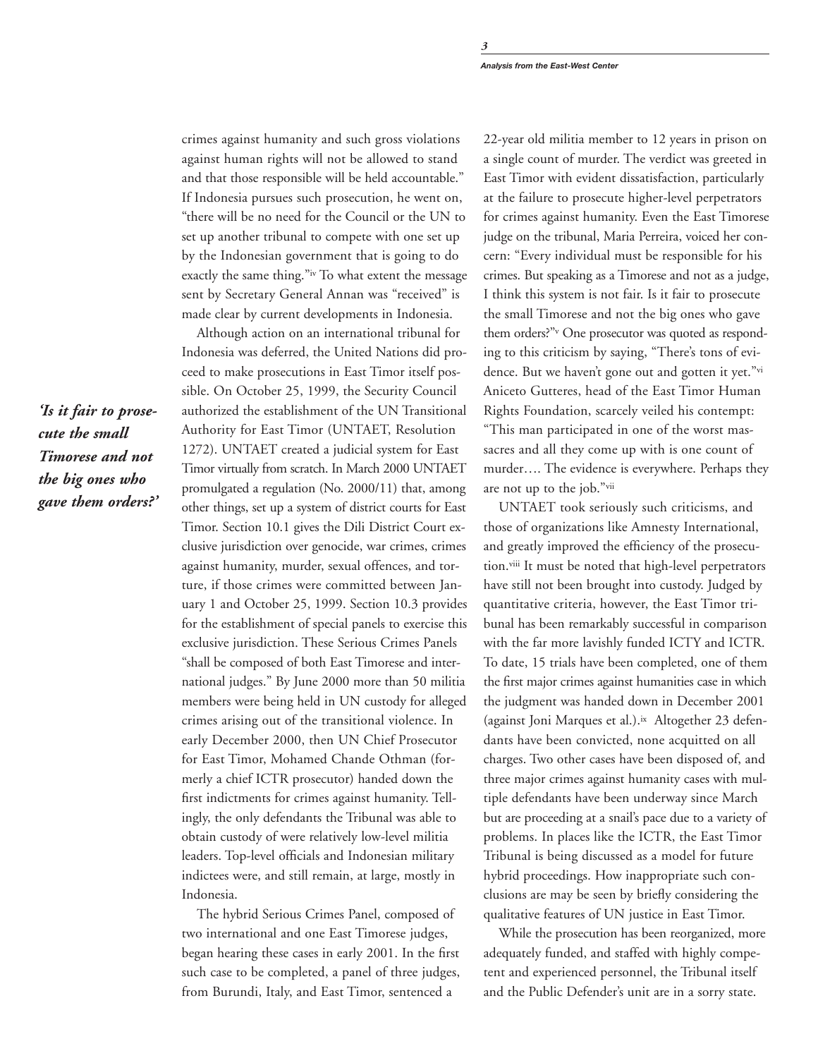crimes against humanity and such gross violations against human rights will not be allowed to stand and that those responsible will be held accountable." If Indonesia pursues such prosecution, he went on, "there will be no need for the Council or the UN to set up another tribunal to compete with one set up by the Indonesian government that is going to do exactly the same thing."iv To what extent the message sent by Secretary General Annan was "received" is made clear by current developments in Indonesia.

Although action on an international tribunal for Indonesia was deferred, the United Nations did proceed to make prosecutions in East Timor itself possible. On October 25, 1999, the Security Council authorized the establishment of the UN Transitional Authority for East Timor (UNTAET, Resolution 1272). UNTAET created a judicial system for East Timor virtually from scratch. In March 2000 UNTAET promulgated a regulation (No. 2000/11) that, among other things, set up a system of district courts for East Timor. Section 10.1 gives the Dili District Court exclusive jurisdiction over genocide, war crimes, crimes against humanity, murder, sexual offences, and torture, if those crimes were committed between January 1 and October 25, 1999. Section 10.3 provides for the establishment of special panels to exercise this exclusive jurisdiction. These Serious Crimes Panels "shall be composed of both East Timorese and international judges." By June 2000 more than 50 militia members were being held in UN custody for alleged crimes arising out of the transitional violence. In early December 2000, then UN Chief Prosecutor for East Timor, Mohamed Chande Othman (formerly a chief ICTR prosecutor) handed down the first indictments for crimes against humanity. Tellingly, the only defendants the Tribunal was able to obtain custody of were relatively low-level militia leaders. Top-level officials and Indonesian military indictees were, and still remain, at large, mostly in Indonesia.

The hybrid Serious Crimes Panel, composed of two international and one East Timorese judges, began hearing these cases in early 2001. In the first such case to be completed, a panel of three judges, from Burundi, Italy, and East Timor, sentenced a

22-year old militia member to 12 years in prison on a single count of murder. The verdict was greeted in East Timor with evident dissatisfaction, particularly at the failure to prosecute higher-level perpetrators for crimes against humanity. Even the East Timorese judge on the tribunal, Maria Perreira, voiced her concern: "Every individual must be responsible for his crimes. But speaking as a Timorese and not as a judge, I think this system is not fair. Is it fair to prosecute the small Timorese and not the big ones who gave them orders?"v One prosecutor was quoted as responding to this criticism by saying, "There's tons of evidence. But we haven't gone out and gotten it yet."vi Aniceto Gutteres, head of the East Timor Human Rights Foundation, scarcely veiled his contempt: "This man participated in one of the worst massacres and all they come up with is one count of murder…. The evidence is everywhere. Perhaps they are not up to the job."vii

UNTAET took seriously such criticisms, and those of organizations like Amnesty International, and greatly improved the efficiency of the prosecution.viii It must be noted that high-level perpetrators have still not been brought into custody. Judged by quantitative criteria, however, the East Timor tribunal has been remarkably successful in comparison with the far more lavishly funded ICTY and ICTR. To date, 15 trials have been completed, one of them the first major crimes against humanities case in which the judgment was handed down in December 2001 (against Joni Marques et al.).ix Altogether 23 defendants have been convicted, none acquitted on all charges. Two other cases have been disposed of, and three major crimes against humanity cases with multiple defendants have been underway since March but are proceeding at a snail's pace due to a variety of problems. In places like the ICTR, the East Timor Tribunal is being discussed as a model for future hybrid proceedings. How inappropriate such conclusions are may be seen by briefly considering the qualitative features of UN justice in East Timor.

While the prosecution has been reorganized, more adequately funded, and staffed with highly competent and experienced personnel, the Tribunal itself and the Public Defender's unit are in a sorry state.

*'Is it fair to prosecute the small Timorese and not the big ones who gave them orders?'*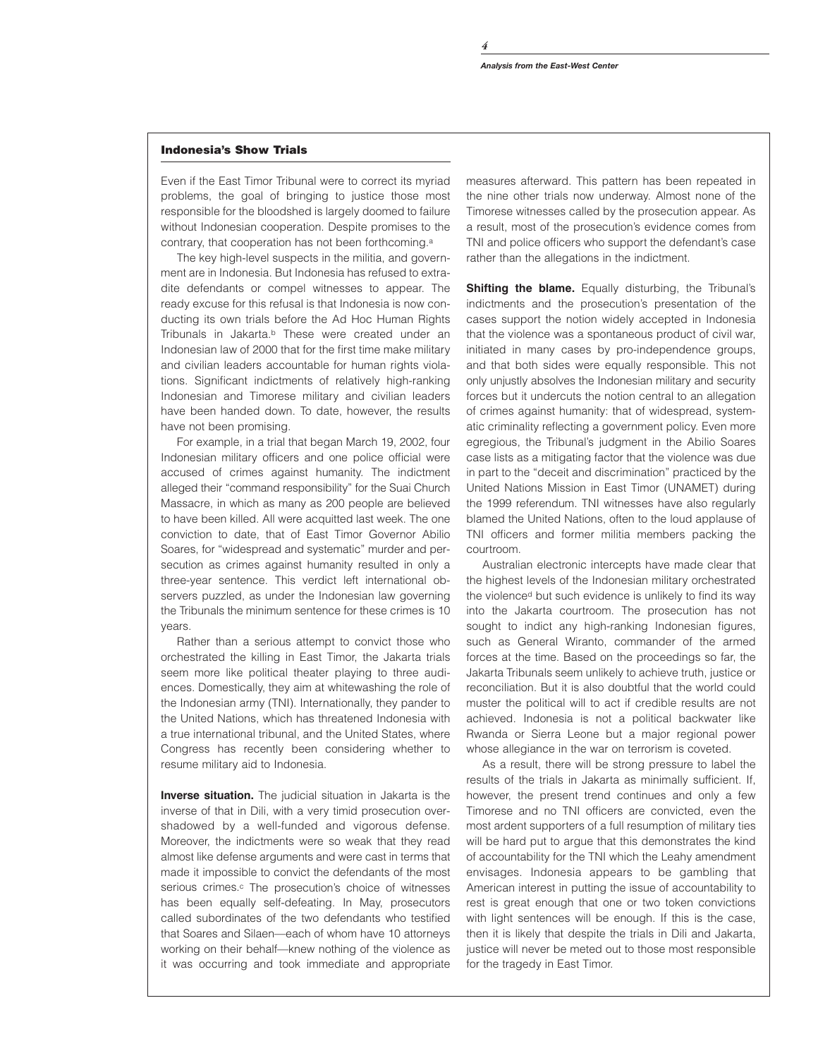*4*

Even if the East Timor Tribunal were to correct its myriad problems, the goal of bringing to justice those most responsible for the bloodshed is largely doomed to failure without Indonesian cooperation. Despite promises to the contrary, that cooperation has not been forthcoming.<sup>a</sup>

The key high-level suspects in the militia, and government are in Indonesia. But Indonesia has refused to extradite defendants or compel witnesses to appear. The ready excuse for this refusal is that Indonesia is now conducting its own trials before the Ad Hoc Human Rights Tribunals in Jakarta.<sup>b</sup> These were created under an Indonesian law of 2000 that for the first time make military and civilian leaders accountable for human rights violations. Significant indictments of relatively high-ranking Indonesian and Timorese military and civilian leaders have been handed down. To date, however, the results have not been promising.

For example, in a trial that began March 19, 2002, four Indonesian military officers and one police official were accused of crimes against humanity. The indictment alleged their "command responsibility" for the Suai Church Massacre, in which as many as 200 people are believed to have been killed. All were acquitted last week. The one conviction to date, that of East Timor Governor Abilio Soares, for "widespread and systematic" murder and persecution as crimes against humanity resulted in only a three-year sentence. This verdict left international observers puzzled, as under the Indonesian law governing the Tribunals the minimum sentence for these crimes is 10 years.

Rather than a serious attempt to convict those who orchestrated the killing in East Timor, the Jakarta trials seem more like political theater playing to three audiences. Domestically, they aim at whitewashing the role of the Indonesian army (TNI). Internationally, they pander to the United Nations, which has threatened Indonesia with a true international tribunal, and the United States, where Congress has recently been considering whether to resume military aid to Indonesia.

**Inverse situation.** The judicial situation in Jakarta is the inverse of that in Dili, with a very timid prosecution overshadowed by a well-funded and vigorous defense. Moreover, the indictments were so weak that they read almost like defense arguments and were cast in terms that made it impossible to convict the defendants of the most serious crimes.<sup>c</sup> The prosecution's choice of witnesses has been equally self-defeating. In May, prosecutors called subordinates of the two defendants who testified that Soares and Silaen—each of whom have 10 attorneys working on their behalf—knew nothing of the violence as it was occurring and took immediate and appropriate measures afterward. This pattern has been repeated in the nine other trials now underway. Almost none of the Timorese witnesses called by the prosecution appear. As a result, most of the prosecution's evidence comes from TNI and police officers who support the defendant's case rather than the allegations in the indictment.

**Shifting the blame.** Equally disturbing, the Tribunal's indictments and the prosecution's presentation of the cases support the notion widely accepted in Indonesia that the violence was a spontaneous product of civil war, initiated in many cases by pro-independence groups, and that both sides were equally responsible. This not only unjustly absolves the Indonesian military and security forces but it undercuts the notion central to an allegation of crimes against humanity: that of widespread, systematic criminality reflecting a government policy. Even more egregious, the Tribunal's judgment in the Abilio Soares case lists as a mitigating factor that the violence was due in part to the "deceit and discrimination" practiced by the United Nations Mission in East Timor (UNAMET) during the 1999 referendum. TNI witnesses have also regularly blamed the United Nations, often to the loud applause of TNI officers and former militia members packing the courtroom.

Australian electronic intercepts have made clear that the highest levels of the Indonesian military orchestrated the violenced but such evidence is unlikely to find its way into the Jakarta courtroom. The prosecution has not sought to indict any high-ranking Indonesian figures, such as General Wiranto, commander of the armed forces at the time. Based on the proceedings so far, the Jakarta Tribunals seem unlikely to achieve truth, justice or reconciliation. But it is also doubtful that the world could muster the political will to act if credible results are not achieved. Indonesia is not a political backwater like Rwanda or Sierra Leone but a major regional power whose allegiance in the war on terrorism is coveted.

As a result, there will be strong pressure to label the results of the trials in Jakarta as minimally sufficient. If, however, the present trend continues and only a few Timorese and no TNI officers are convicted, even the most ardent supporters of a full resumption of military ties will be hard put to argue that this demonstrates the kind of accountability for the TNI which the Leahy amendment envisages. Indonesia appears to be gambling that American interest in putting the issue of accountability to rest is great enough that one or two token convictions with light sentences will be enough. If this is the case, then it is likely that despite the trials in Dili and Jakarta, justice will never be meted out to those most responsible for the tragedy in East Timor.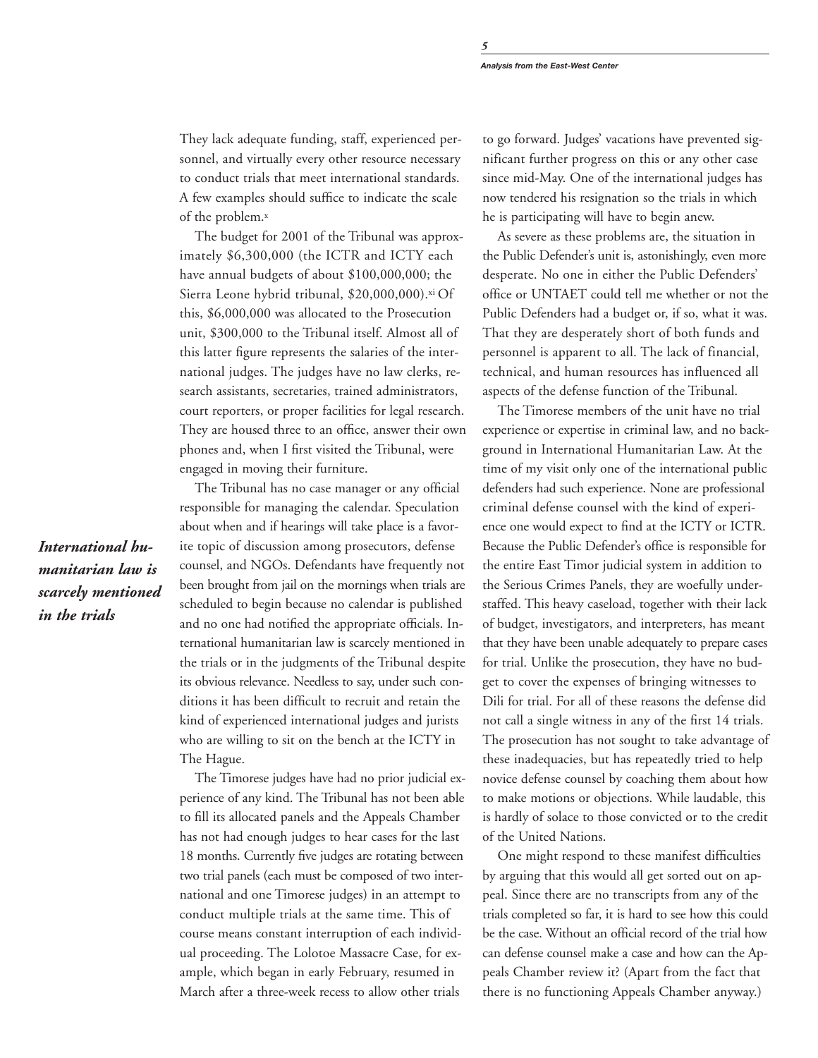They lack adequate funding, staff, experienced personnel, and virtually every other resource necessary to conduct trials that meet international standards. A few examples should suffice to indicate the scale of the problem.<sup>x</sup>

The budget for 2001 of the Tribunal was approximately \$6,300,000 (the ICTR and ICTY each have annual budgets of about \$100,000,000; the Sierra Leone hybrid tribunal, \$20,000,000).xi Of this, \$6,000,000 was allocated to the Prosecution unit, \$300,000 to the Tribunal itself. Almost all of this latter figure represents the salaries of the international judges. The judges have no law clerks, research assistants, secretaries, trained administrators, court reporters, or proper facilities for legal research. They are housed three to an office, answer their own phones and, when I first visited the Tribunal, were engaged in moving their furniture.

The Tribunal has no case manager or any official responsible for managing the calendar. Speculation about when and if hearings will take place is a favorite topic of discussion among prosecutors, defense counsel, and NGOs. Defendants have frequently not been brought from jail on the mornings when trials are scheduled to begin because no calendar is published and no one had notified the appropriate officials. International humanitarian law is scarcely mentioned in the trials or in the judgments of the Tribunal despite its obvious relevance. Needless to say, under such conditions it has been difficult to recruit and retain the kind of experienced international judges and jurists who are willing to sit on the bench at the ICTY in The Hague.

The Timorese judges have had no prior judicial experience of any kind. The Tribunal has not been able to fill its allocated panels and the Appeals Chamber has not had enough judges to hear cases for the last 18 months. Currently five judges are rotating between two trial panels (each must be composed of two international and one Timorese judges) in an attempt to conduct multiple trials at the same time. This of course means constant interruption of each individual proceeding. The Lolotoe Massacre Case, for example, which began in early February, resumed in March after a three-week recess to allow other trials

to go forward. Judges' vacations have prevented significant further progress on this or any other case since mid-May. One of the international judges has now tendered his resignation so the trials in which he is participating will have to begin anew.

As severe as these problems are, the situation in the Public Defender's unit is, astonishingly, even more desperate. No one in either the Public Defenders' office or UNTAET could tell me whether or not the Public Defenders had a budget or, if so, what it was. That they are desperately short of both funds and personnel is apparent to all. The lack of financial, technical, and human resources has influenced all aspects of the defense function of the Tribunal.

The Timorese members of the unit have no trial experience or expertise in criminal law, and no background in International Humanitarian Law. At the time of my visit only one of the international public defenders had such experience. None are professional criminal defense counsel with the kind of experience one would expect to find at the ICTY or ICTR. Because the Public Defender's office is responsible for the entire East Timor judicial system in addition to the Serious Crimes Panels, they are woefully understaffed. This heavy caseload, together with their lack of budget, investigators, and interpreters, has meant that they have been unable adequately to prepare cases for trial. Unlike the prosecution, they have no budget to cover the expenses of bringing witnesses to Dili for trial. For all of these reasons the defense did not call a single witness in any of the first 14 trials. The prosecution has not sought to take advantage of these inadequacies, but has repeatedly tried to help novice defense counsel by coaching them about how to make motions or objections. While laudable, this is hardly of solace to those convicted or to the credit of the United Nations.

One might respond to these manifest difficulties by arguing that this would all get sorted out on appeal. Since there are no transcripts from any of the trials completed so far, it is hard to see how this could be the case. Without an official record of the trial how can defense counsel make a case and how can the Appeals Chamber review it? (Apart from the fact that there is no functioning Appeals Chamber anyway.)

*International humanitarian law is scarcely mentioned in the trials*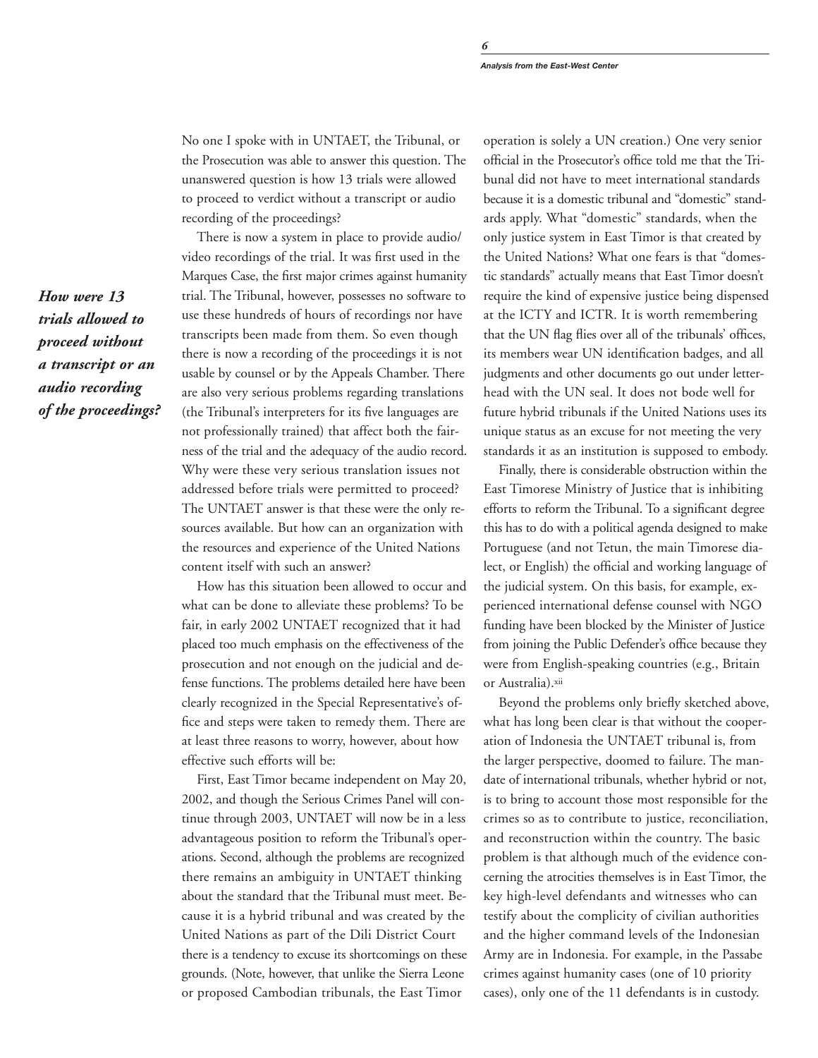No one I spoke with in UNTAET, the Tribunal, or the Prosecution was able to answer this question. The unanswered question is how 13 trials were allowed to proceed to verdict without a transcript or audio recording of the proceedings?

There is now a system in place to provide audio/ video recordings of the trial. It was first used in the Marques Case, the first major crimes against humanity trial. The Tribunal, however, possesses no software to use these hundreds of hours of recordings nor have transcripts been made from them. So even though there is now a recording of the proceedings it is not usable by counsel or by the Appeals Chamber. There are also very serious problems regarding translations (the Tribunal's interpreters for its five languages are not professionally trained) that affect both the fairness of the trial and the adequacy of the audio record. Why were these very serious translation issues not addressed before trials were permitted to proceed? The UNTAET answer is that these were the only resources available. But how can an organization with the resources and experience of the United Nations content itself with such an answer?

How has this situation been allowed to occur and what can be done to alleviate these problems? To be fair, in early 2002 UNTAET recognized that it had placed too much emphasis on the effectiveness of the prosecution and not enough on the judicial and defense functions. The problems detailed here have been clearly recognized in the Special Representative's office and steps were taken to remedy them. There are at least three reasons to worry, however, about how effective such efforts will be:

First, East Timor became independent on May 20, 2002, and though the Serious Crimes Panel will continue through 2003, UNTAET will now be in a less advantageous position to reform the Tribunal's operations. Second, although the problems are recognized there remains an ambiguity in UNTAET thinking about the standard that the Tribunal must meet. Because it is a hybrid tribunal and was created by the United Nations as part of the Dili District Court there is a tendency to excuse its shortcomings on these grounds. (Note, however, that unlike the Sierra Leone or proposed Cambodian tribunals, the East Timor

operation is solely a UN creation.) One very senior official in the Prosecutor's office told me that the Tribunal did not have to meet international standards because it is a domestic tribunal and "domestic" standards apply. What "domestic" standards, when the only justice system in East Timor is that created by the United Nations? What one fears is that "domestic standards" actually means that East Timor doesn't require the kind of expensive justice being dispensed at the ICTY and ICTR. It is worth remembering that the UN flag flies over all of the tribunals' offices, its members wear UN identification badges, and all judgments and other documents go out under letterhead with the UN seal. It does not bode well for future hybrid tribunals if the United Nations uses its unique status as an excuse for not meeting the very standards it as an institution is supposed to embody.

Finally, there is considerable obstruction within the East Timorese Ministry of Justice that is inhibiting efforts to reform the Tribunal. To a significant degree this has to do with a political agenda designed to make Portuguese (and not Tetun, the main Timorese dialect, or English) the official and working language of the judicial system. On this basis, for example, experienced international defense counsel with NGO funding have been blocked by the Minister of Justice from joining the Public Defender's office because they were from English-speaking countries (e.g., Britain or Australia).xii

Beyond the problems only briefly sketched above, what has long been clear is that without the cooperation of Indonesia the UNTAET tribunal is, from the larger perspective, doomed to failure. The mandate of international tribunals, whether hybrid or not, is to bring to account those most responsible for the crimes so as to contribute to justice, reconciliation, and reconstruction within the country. The basic problem is that although much of the evidence concerning the atrocities themselves is in East Timor, the key high-level defendants and witnesses who can testify about the complicity of civilian authorities and the higher command levels of the Indonesian Army are in Indonesia. For example, in the Passabe crimes against humanity cases (one of 10 priority cases), only one of the 11 defendants is in custody.

*How were 13 trials allowed to proceed without a transcript or an audio recording of the proceedings?*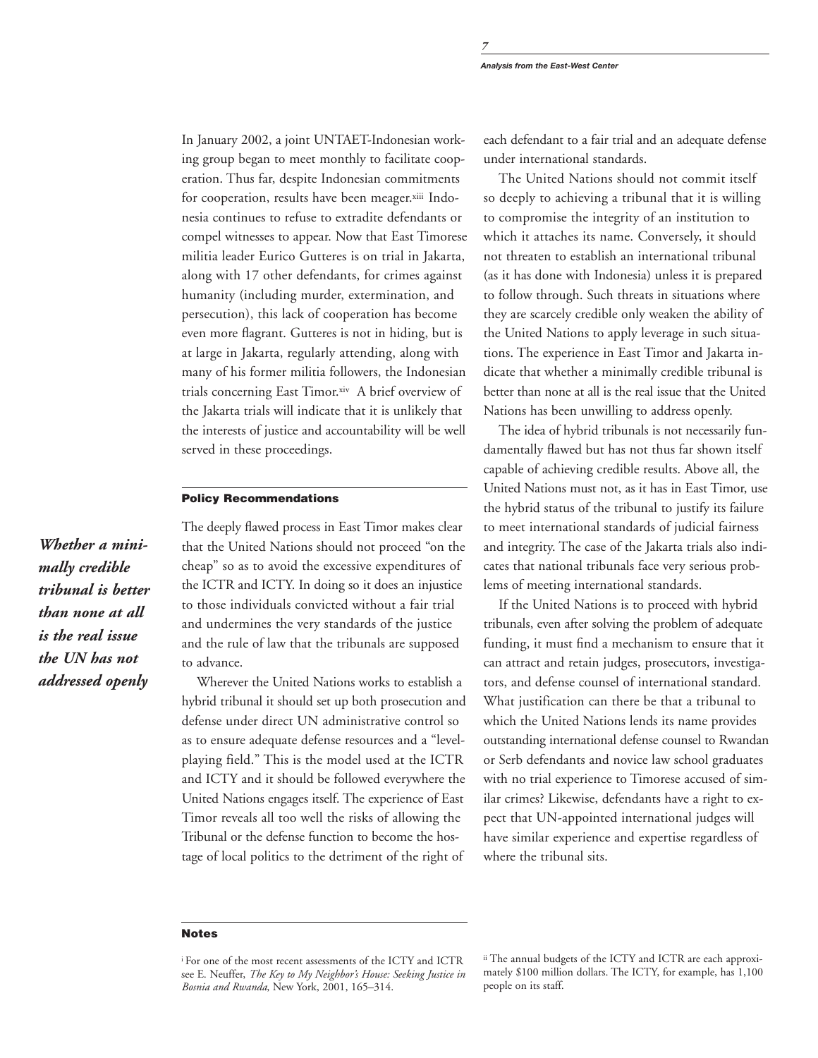In January 2002, a joint UNTAET-Indonesian working group began to meet monthly to facilitate cooperation. Thus far, despite Indonesian commitments for cooperation, results have been meager.xiii Indonesia continues to refuse to extradite defendants or compel witnesses to appear. Now that East Timorese militia leader Eurico Gutteres is on trial in Jakarta, along with 17 other defendants, for crimes against humanity (including murder, extermination, and persecution), this lack of cooperation has become even more flagrant. Gutteres is not in hiding, but is at large in Jakarta, regularly attending, along with many of his former militia followers, the Indonesian trials concerning East Timor.xiv A brief overview of the Jakarta trials will indicate that it is unlikely that the interests of justice and accountability will be well served in these proceedings.

## **Policy Recommendations**

The deeply flawed process in East Timor makes clear that the United Nations should not proceed "on the cheap" so as to avoid the excessive expenditures of the ICTR and ICTY. In doing so it does an injustice to those individuals convicted without a fair trial and undermines the very standards of the justice and the rule of law that the tribunals are supposed to advance.

Wherever the United Nations works to establish a hybrid tribunal it should set up both prosecution and defense under direct UN administrative control so as to ensure adequate defense resources and a "levelplaying field." This is the model used at the ICTR and ICTY and it should be followed everywhere the United Nations engages itself. The experience of East Timor reveals all too well the risks of allowing the Tribunal or the defense function to become the hostage of local politics to the detriment of the right of each defendant to a fair trial and an adequate defense under international standards.

The United Nations should not commit itself so deeply to achieving a tribunal that it is willing to compromise the integrity of an institution to which it attaches its name. Conversely, it should not threaten to establish an international tribunal (as it has done with Indonesia) unless it is prepared to follow through. Such threats in situations where they are scarcely credible only weaken the ability of the United Nations to apply leverage in such situations. The experience in East Timor and Jakarta indicate that whether a minimally credible tribunal is better than none at all is the real issue that the United Nations has been unwilling to address openly.

The idea of hybrid tribunals is not necessarily fundamentally flawed but has not thus far shown itself capable of achieving credible results. Above all, the United Nations must not, as it has in East Timor, use the hybrid status of the tribunal to justify its failure to meet international standards of judicial fairness and integrity. The case of the Jakarta trials also indicates that national tribunals face very serious problems of meeting international standards.

If the United Nations is to proceed with hybrid tribunals, even after solving the problem of adequate funding, it must find a mechanism to ensure that it can attract and retain judges, prosecutors, investigators, and defense counsel of international standard. What justification can there be that a tribunal to which the United Nations lends its name provides outstanding international defense counsel to Rwandan or Serb defendants and novice law school graduates with no trial experience to Timorese accused of similar crimes? Likewise, defendants have a right to expect that UN-appointed international judges will have similar experience and expertise regardless of where the tribunal sits.

### **Notes**

*Whether a minimally credible tribunal is better than none at all is the real issue the UN has not addressed openly*

i For one of the most recent assessments of the ICTY and ICTR see E. Neuffer, *The Key to My Neighbor's House: Seeking Justice in Bosnia and Rwanda*, New York, 2001, 165–314.

ii The annual budgets of the ICTY and ICTR are each approximately \$100 million dollars. The ICTY, for example, has 1,100 people on its staff.